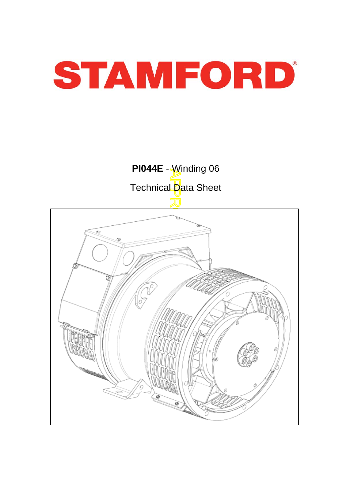



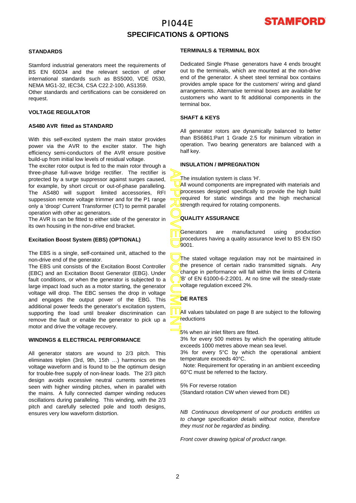### PI044E **SPECIFICATIONS & OPTIONS**



### **STANDARDS**

Stamford industrial generators meet the requirements o f BS EN 60034 and the relevant section of other international standards such as BS5000, VDE 0530, NEMA MG1-32, IEC34, CSA C22.2-100, AS1359.

Other standards and certifications can be considered on request.

#### **VOLTAGE REGULATOR**

#### **AS480 AVR fitted as STANDARD**

With this self-excited system the main stator provides power via the AVR to the exciter stator. The high efficiency semi-conductors of the AVR ensure positive build-up from initial low levels of residual voltage.

The exciter rotor output is fed to the main rotor through a three-phase full-wave bridge rectifier. The rectifier is protected by a surge suppressor against surges caused, for example, by short circuit or out-of-phase paralleling. The AS480 will support limited accessories, RFI suppession remote voltage trimmer and for the P1 range only a 'droop' Current Transformer (CT) to permit parallel operation with other ac generators.

The AVR is can be fitted to either side of the generator in its own housing in the non-drive end bracket.

### **Excitation Boost System (EBS) (OPTIONAL)**

The EBS is a single, self-contained unit, attached to the non-drive end of the generator.

The EBS unit consists of the Excitation Boost Controller (EBC) and an Excitation Boost Generator (EBG). Unde r fault conditions, or when the generator is subjected to a large impact load such as a motor starting, the generator voltage will drop. The EBC senses the drop in voltage and engages the output power of the EBG. This additional power feeds the generator's excitation system, supporting the load until breaker discrimination can remove the fault or enable the generator to pick up a motor and drive the voltage recovery.

#### **WINDINGS & ELECTRICAL PERFORMANCE**

All generator stators are wound to 2/3 pitch. This eliminates triplen (3rd, 9th, 15th …) harmonics on the voltage waveform and is found to be the optimum design for trouble-free supply of non-linear loads. The 2/3 pitch design avoids excessive neutral currents sometimes seen with higher winding pitches, when in parallel with the mains. A fully connected damper winding reduces oscillations during paralleling. This winding, with the 2/3 pitch and carefully selected pole and tooth designs, ensures very low waveform distortion.

#### **TERMINALS & TERMINAL BOX**

Dedicated Single Phase generators have 4 ends brought out to the terminals, which are mounted at the non-drive end of the generator. A sheet steel terminal box contains provides ample space for the customers' wiring and gland arrangements. Alternative terminal boxes are available fo r customers who want to fit additional components in the terminal box.

### **SHAFT & KEYS**

All generator rotors are dynamically balanced to better than BS6861:Part 1 Grade 2.5 for minimum vibration in operation. Two bearing generators are balanced with a half key.

#### **INSULATION / IMPREGNATION**

The insulation system is class 'H'.

All wound components are impregnated with materials and processes designed specifically to provide the high build required for static windings and the high mechanical strength required for rotating components.

#### **QUALITY ASSURANCE**

Generators are manufactured using production procedures having a quality assurance level to BS EN ISO 9001.

APPROVED DOCUMENT The stated voltage regulation may not be maintained in the presence of certain radio transmitted signals. Any change in performance will fall within the limits of Criteria B' of EN 61000-6-2:2001. At no time will the steady-state voltage regulation exceed 2%.

#### **DE RATES**

All values tabulated on page 8 are subiect to the following reductions

**5%** when air inlet filters are fitted.

3% for every 500 metres by which the operating altitude exceeds 1000 metres above mean sea level.

3% for every 5°C by which the operational ambient temperature exceeds 40°C.

 Note: Requirement for operating in an ambient exceeding 60°C must be referred to the factory.

5% For reverse rotation

(Standard rotation CW when viewed from DE)

*NB Continuous development of our products entitles us to change specification details without notice, therefore they must not be regarded as binding.* 

*Front cover drawing typical of product range.*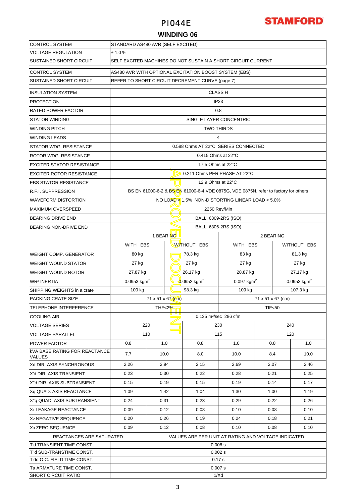

### **WINDING 06**

| <b>CONTROL SYSTEM</b>                                 | STANDARD AS480 AVR (SELF EXCITED)                              |                                                       |                    |                                                 |                                                                                      |      |             |                           |  |
|-------------------------------------------------------|----------------------------------------------------------------|-------------------------------------------------------|--------------------|-------------------------------------------------|--------------------------------------------------------------------------------------|------|-------------|---------------------------|--|
| <b>VOLTAGE REGULATION</b>                             | ± 1.0 %                                                        |                                                       |                    |                                                 |                                                                                      |      |             |                           |  |
| <b>SUSTAINED SHORT CIRCUIT</b>                        | SELF EXCITED MACHINES DO NOT SUSTAIN A SHORT CIRCUIT CURRENT   |                                                       |                    |                                                 |                                                                                      |      |             |                           |  |
| <b>CONTROL SYSTEM</b>                                 |                                                                | AS480 AVR WITH OPTIONAL EXCITATION BOOST SYSTEM (EBS) |                    |                                                 |                                                                                      |      |             |                           |  |
| <b>SUSTAINED SHORT CIRCUIT</b>                        |                                                                |                                                       |                    | REFER TO SHORT CIRCUIT DECREMENT CURVE (page 7) |                                                                                      |      |             |                           |  |
| <b>INSULATION SYSTEM</b>                              |                                                                | <b>CLASS H</b>                                        |                    |                                                 |                                                                                      |      |             |                           |  |
| <b>PROTECTION</b>                                     |                                                                | IP <sub>23</sub>                                      |                    |                                                 |                                                                                      |      |             |                           |  |
| <b>RATED POWER FACTOR</b>                             |                                                                | 0.8                                                   |                    |                                                 |                                                                                      |      |             |                           |  |
| <b>STATOR WINDING</b>                                 |                                                                |                                                       |                    |                                                 |                                                                                      |      |             |                           |  |
| <b>WINDING PITCH</b>                                  |                                                                | SINGLE LAYER CONCENTRIC                               |                    |                                                 |                                                                                      |      |             |                           |  |
|                                                       |                                                                | <b>TWO THIRDS</b><br>4                                |                    |                                                 |                                                                                      |      |             |                           |  |
| <b>WINDING LEADS</b><br><b>STATOR WDG. RESISTANCE</b> |                                                                |                                                       |                    |                                                 | 0.588 Ohms AT 22°C SERIES CONNECTED                                                  |      |             |                           |  |
|                                                       |                                                                |                                                       |                    |                                                 |                                                                                      |      |             |                           |  |
| <b>ROTOR WDG. RESISTANCE</b>                          |                                                                |                                                       |                    | $0.415$ Ohms at 22 $\degree$ C                  |                                                                                      |      |             |                           |  |
| <b>EXCITER STATOR RESISTANCE</b>                      |                                                                |                                                       |                    | 17.5 Ohms at 22°C                               |                                                                                      |      |             |                           |  |
| <b>EXCITER ROTOR RESISTANCE</b>                       |                                                                |                                                       |                    | 0.211 Ohms PER PHASE AT 22°C                    |                                                                                      |      |             |                           |  |
| <b>EBS STATOR RESISTANCE</b>                          |                                                                |                                                       |                    | 12.9 Ohms at 22°C                               |                                                                                      |      |             |                           |  |
| <b>R.F.I. SUPPRESSION</b>                             |                                                                |                                                       |                    |                                                 | BS EN 61000-6-2 & BS EN 61000-6-4, VDE 0875G, VDE 0875N. refer to factory for others |      |             |                           |  |
| <b>WAVEFORM DISTORTION</b>                            |                                                                |                                                       |                    |                                                 | NO LOAD < $1.5\%$ NON-DISTORTING LINEAR LOAD < $5.0\%$                               |      |             |                           |  |
| <b>MAXIMUM OVERSPEED</b>                              |                                                                |                                                       |                    |                                                 | 2250 Rev/Min                                                                         |      |             |                           |  |
| <b>BEARING DRIVE END</b>                              |                                                                | BALL. 6309-2RS (ISO)                                  |                    |                                                 |                                                                                      |      |             |                           |  |
| BEARING NON-DRIVE END                                 |                                                                | BALL. 6306-2RS (ISO)                                  |                    |                                                 |                                                                                      |      |             |                           |  |
|                                                       | 1 BEARING<br>2 BEARING                                         |                                                       |                    |                                                 |                                                                                      |      |             |                           |  |
|                                                       | WITH EBS                                                       |                                                       | <b>WITHOUT EBS</b> |                                                 | WITH EBS                                                                             |      | WITHOUT EBS |                           |  |
| <b>WEIGHT COMP. GENERATOR</b>                         | 80 kg                                                          |                                                       |                    | 78.3 kg                                         | 83 kg                                                                                |      |             | 81.3 kg                   |  |
| <b>WEIGHT WOUND STATOR</b>                            | 27 kg                                                          |                                                       |                    | 27 kg                                           | 27 kg                                                                                |      |             | 27 kg                     |  |
| <b>WEIGHT WOUND ROTOR</b>                             | 27.87 kg                                                       |                                                       |                    | 26.17 kg                                        | 28.87 kg                                                                             |      |             | 27.17 kg                  |  |
| <b>WR<sup>2</sup> INERTIA</b>                         | 0.0953 kgm <sup>2</sup>                                        |                                                       |                    | $0.0952$ kgm <sup>2</sup>                       | $0.097$ kgm <sup>2</sup>                                                             |      |             | $0.0953$ kgm <sup>2</sup> |  |
| SHIPPING WEIGHTS in a crate                           | 98.3 kg<br>109 kg<br>107.3 kg<br>100 kg                        |                                                       |                    |                                                 |                                                                                      |      |             |                           |  |
| PACKING CRATE SIZE                                    | 71 x 51 x 67 (cm)<br>71 x 51 x 67 (cm)                         |                                                       |                    |                                                 |                                                                                      |      |             |                           |  |
| <b>TELEPHONE INTERFERENCE</b>                         |                                                                | <b>TIF&lt;50</b><br>THF<2 $%$                         |                    |                                                 |                                                                                      |      |             |                           |  |
| <b>COOLING AIR</b>                                    |                                                                |                                                       |                    |                                                 | 0.135 m <sup>3</sup> /sec 286 cfm                                                    |      |             |                           |  |
| <b>VOLTAGE SERIES</b>                                 |                                                                | 220                                                   |                    |                                                 | 230                                                                                  |      | 240         |                           |  |
| <b>VOLTAGE PARALLEL</b>                               |                                                                | 110                                                   |                    |                                                 | 115                                                                                  |      | 120         |                           |  |
| <b>POWER FACTOR</b>                                   | 0.8                                                            | 1.0                                                   |                    | 0.8                                             | 1.0                                                                                  |      | 0.8         | 1.0                       |  |
| <b>KVA BASE RATING FOR REACTANCE</b><br>VALUES        | 7.7                                                            | 10.0                                                  |                    | 8.0                                             | 10.0                                                                                 | 8.4  |             | 10.0                      |  |
| Xd DIR. AXIS SYNCHRONOUS                              | 2.26                                                           | 2.94                                                  |                    | 2.15                                            | 2.69                                                                                 | 2.07 |             | 2.46                      |  |
| X'd DIR. AXIS TRANSIENT                               | 0.23                                                           | 0.30                                                  |                    | 0.22                                            | 0.28                                                                                 | 0.21 |             | 0.25                      |  |
| X"d DIR. AXIS SUBTRANSIENT                            | 0.15                                                           | 0.19                                                  |                    | 0.15                                            | 0.19                                                                                 | 0.14 |             | 0.17                      |  |
| Xq QUAD. AXIS REACTANCE                               | 1.09                                                           | 1.42                                                  |                    | 1.04                                            | 1.30                                                                                 | 1.00 |             | 1.19                      |  |
| X"g QUAD. AXIS SUBTRANSIENT                           | 0.24<br>0.31                                                   |                                                       |                    | 0.23                                            | 0.29                                                                                 | 0.22 |             | 0.26                      |  |
| XL LEAKAGE REACTANCE                                  | 0.09                                                           | 0.12                                                  |                    | 0.08                                            | 0.10                                                                                 | 0.08 |             | 0.10                      |  |
| X <sub>2</sub> NEGATIVE SEQUENCE                      | 0.20<br>0.26                                                   |                                                       |                    | 0.19                                            | 0.24                                                                                 | 0.18 |             | 0.21                      |  |
| X <sub>0</sub> ZERO SEQUENCE                          | 0.09                                                           | 0.12                                                  |                    | 0.08                                            | 0.10                                                                                 | 0.08 |             | 0.10                      |  |
| REACTANCES ARE SATURATED                              |                                                                |                                                       |                    |                                                 |                                                                                      |      |             |                           |  |
| T'd TRANSIENT TIME CONST.                             | VALUES ARE PER UNIT AT RATING AND VOLTAGE INDICATED<br>0.008 s |                                                       |                    |                                                 |                                                                                      |      |             |                           |  |
| T"d SUB-TRANSTIME CONST.                              |                                                                |                                                       |                    |                                                 | 0.002 s                                                                              |      |             |                           |  |
| T'do O.C. FIELD TIME CONST.                           |                                                                |                                                       |                    |                                                 | 0.17 s                                                                               |      |             |                           |  |
| Ta ARMATURE TIME CONST.                               |                                                                |                                                       |                    |                                                 | 0.007 s                                                                              |      |             |                           |  |
| <b>SHORT CIRCUIT RATIO</b>                            | 1/Xd                                                           |                                                       |                    |                                                 |                                                                                      |      |             |                           |  |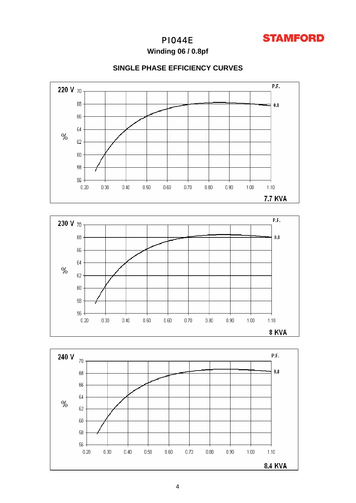

Winding 06 / 0.8pf







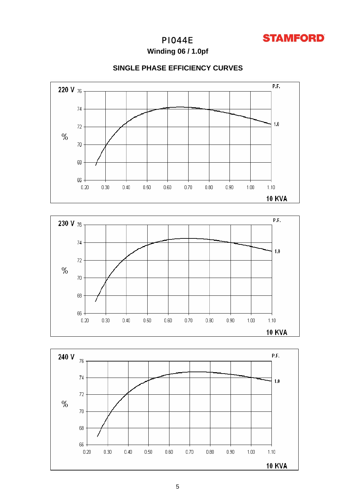

Winding 06 / 1.0pf

### **SINGLE PHASE EFFICIENCY CURVES**





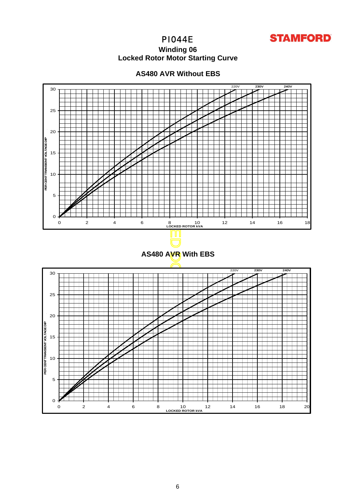

### **Winding 06 Locked Rotor Motor Startin g Curve**



5<br>0

 $\circ$ 

5

10

**PER CENT TRANSIENT VOLTAGE DIP** 

PER CENT TRANSIENT VOLTAGE DIP

15

20

25

30

### **AS480 AVR Without EBS**



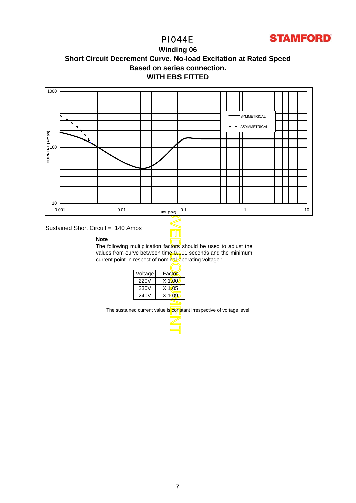

### **WITH EBS FITTED Winding 06 Short Circuit Decrement Curve. No-load Excitation at Rated Speed Based on series connection.**



### Sustained Short Circuit = 140 Amps

#### **Note**

The following multiplication factors should be used to adjust the values from curve between time 0.001 seconds and the minimum current point in respect of nominal operating voltage :

| Voltage | Factor   |
|---------|----------|
| 220V    | $X$ 1\00 |
| 230V    | $X$ 1005 |
| 240V    | $X$ 1.09 |
|         |          |

The sustained current value is constant irrespective of voltage level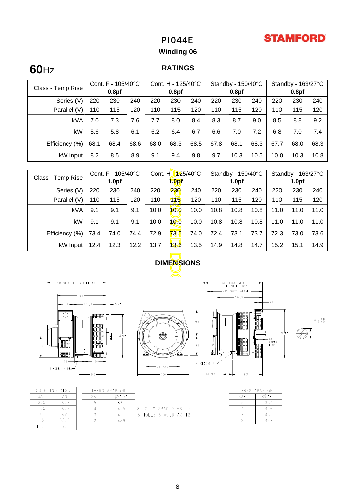# **STAMFORD**

# PI044E

# **Winding 06**

# **60**Hz

### **RATINGS**

|                   | Cont. F - 105/40°C |                   | Cont. H - 125/40°C |      |                   | Standby - 150/40°C |      |                   | Standby - $163/27^{\circ}$ C |      |                   |      |
|-------------------|--------------------|-------------------|--------------------|------|-------------------|--------------------|------|-------------------|------------------------------|------|-------------------|------|
| Class - Temp Rise |                    | 0.8 <sub>pf</sub> |                    |      | 0.8 <sub>pf</sub> |                    |      | 0.8 <sub>pf</sub> |                              |      | 0.8 <sub>pf</sub> |      |
| Series (V)        | 220                | 230               | 240                | 220  | 230               | 240                | 220  | 230               | 240                          | 220  | 230               | 240  |
| Parallel (V)      | 110                | 115               | 120                | 110  | 115               | 120                | 110  | 115               | 120                          | 110  | 115               | 120  |
| <b>kVA</b>        | 7.0                | 7.3               | 7.6                | 7.7  | 8.0               | 8.4                | 8.3  | 8.7               | 9.0                          | 8.5  | 8.8               | 9.2  |
| kW                | 5.6                | 5.8               | 6.1                | 6.2  | 6.4               | 6.7                | 6.6  | 7.0               | 7.2                          | 6.8  | 7.0               | 7.4  |
| Efficiency (%)    | 68.1               | 68.4              | 68.6               | 68.0 | 68.3              | 68.5               | 67.8 | 68.1              | 68.3                         | 67.7 | 68.0              | 68.3 |
| kW Input          | 8.2                | 8.5               | 8.9                | 9.1  | 9.4               | 9.8                | 9.7  | 10.3              | 10.5                         | 10.0 | 10.3              | 10.8 |

| Cont. F - 105/40°C<br>Class - Temp Rise                                                                                                              |                                | Cont. H - 125/40°C |      | Standby - 150/40°C |                   |      | Standby - 163/27°C |                   |      |      |                   |      |
|------------------------------------------------------------------------------------------------------------------------------------------------------|--------------------------------|--------------------|------|--------------------|-------------------|------|--------------------|-------------------|------|------|-------------------|------|
|                                                                                                                                                      |                                | 1.0 <sub>pf</sub>  |      |                    | 1.0 <sub>pf</sub> |      |                    | 1.0 <sub>pf</sub> |      |      | 1.0 <sub>pf</sub> |      |
| Series (V)                                                                                                                                           | 220                            | 230                | 240  | 220                | 230               | 240  | 220                | 230               | 240  | 220  | 230               | 240  |
| Parallel (V)                                                                                                                                         | 110                            | 115                | 120  | 110                | 115               | 120  | 110                | 115               | 120  | 110  | 115               | 120  |
| kVA                                                                                                                                                  | 9.1                            | 9.1                | 9.1  | 10.0               | 10.0              | 10.0 | 10.8               | 10.8              | 10.8 | 11.0 | 11.0              | 11.0 |
| kW                                                                                                                                                   | 9.1                            | 9.1                | 9.1  | 10.0               | 10.0              | 10.0 | 10.8               | 10.8              | 10.8 | 11.0 | 11.0              | 11.0 |
| Efficiency (%)                                                                                                                                       | 73.4                           | 74.0               | 74.4 | 72.9               | 73.5              | 74.0 | 72.4               | 73.1              | 73.7 | 72.3 | 73.0              | 73.6 |
| kW Input                                                                                                                                             | 12.4                           | 12.3               | 12.2 | 13.7               | $\mathbf{8.6}$    | 13.5 | 14.9               | 14.8              | 14.7 | 15.2 | 15.1              | 14.9 |
| <b>DIMENSIONS</b>                                                                                                                                    |                                |                    |      |                    |                   |      |                    |                   |      |      |                   |      |
| 446 WHEN FITTED WITH EBS-<br>54 (MAX) WHEN<br>FITTED WITH 'EBS<br>— 457 (MAX) OVERALL<br>339,5<br>$-65$<br><b>Hatalin</b><br>42,018<br>42,009<br>220 |                                |                    |      |                    |                   |      |                    |                   |      |      |                   |      |
|                                                                                                                                                      | 000000  <br>000000   <br>nnnnn |                    |      |                    |                   |      |                    |                   |      | ØF.  |                   |      |





APAPTOR

 $\emptyset$ "D 36  $40\frac{5}{3}$ 

451

489

|     | COUPLING DISC                         | $I - BRG$ |
|-----|---------------------------------------|-----------|
| SAE | $^{\mathrm{II}}$ A N $^{\mathrm{II}}$ | SAE       |
| 6.5 | 30.2                                  |           |
| 7.5 | 30.2                                  |           |
|     | 62                                    |           |
| LΩ  | 53.8                                  |           |
|     | 396                                   |           |



8-HOLES SPACED AS 12

8-HOLES SPACED AS 12

|   |            |              |   | 457 (MAX) OVERALL - |  |
|---|------------|--------------|---|---------------------|--|
|   | 220<br>IŠ0 | Ř            | I | $-339,5-$<br>阴阳     |  |
| Ó |            | 4-HOLES Ø14- |   |                     |  |
|   |            | 70 CRS -     |   | 228                 |  |





|     | 2-BRG APAPTOR |
|-----|---------------|
| SAE | "F"           |
|     | 359           |
|     | 406           |
|     | 455           |
|     | 493           |